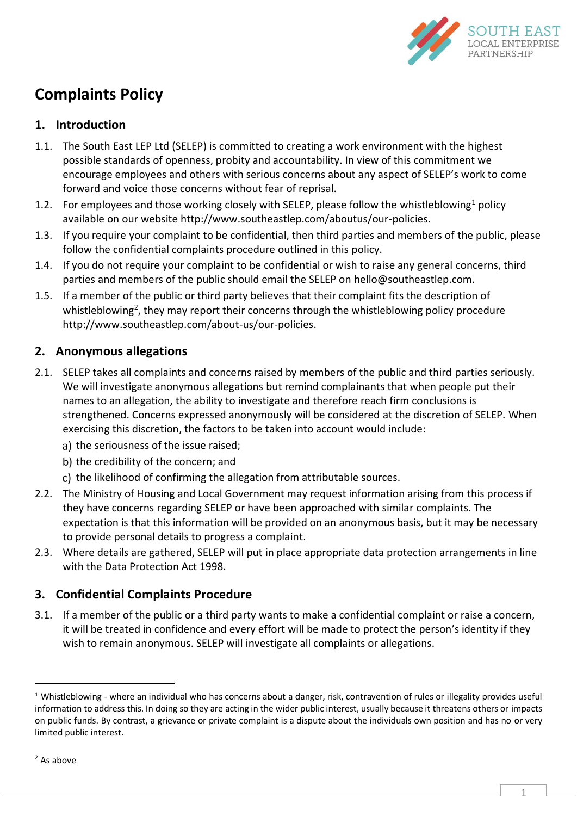

# **Complaints Policy**

## **1. Introduction**

- 1.1. The South East LEP Ltd (SELEP) is committed to creating a work environment with the highest possible standards of openness, probity and accountability. In view of this commitment we encourage employees and others with serious concerns about any aspect of SELEP's work to come forward and voice those concerns without fear of reprisal.
- 1.2. For employees and those working closely with SELEP, please follow the whistleblowing<sup>1</sup> policy available on our website http://www.southeastlep.com/aboutus/our-policies.
- 1.3. If you require your complaint to be confidential, then third parties and members of the public, please follow the confidential complaints procedure outlined in this policy.
- 1.4. If you do not require your complaint to be confidential or wish to raise any general concerns, third parties and members of the public should email the SELEP on hello@southeastlep.com.
- 1.5. If a member of the public or third party believes that their complaint fits the description of whistleblowing<sup>2</sup>, they may report their concerns through the whistleblowing policy procedure http://www.southeastlep.com/about-us/our-policies.

### **2. Anonymous allegations**

- 2.1. SELEP takes all complaints and concerns raised by members of the public and third parties seriously. We will investigate anonymous allegations but remind complainants that when people put their names to an allegation, the ability to investigate and therefore reach firm conclusions is strengthened. Concerns expressed anonymously will be considered at the discretion of SELEP. When exercising this discretion, the factors to be taken into account would include:
	- a) the seriousness of the issue raised:
	- b) the credibility of the concern; and
	- c) the likelihood of confirming the allegation from attributable sources.
- 2.2. The Ministry of Housing and Local Government may request information arising from this process if they have concerns regarding SELEP or have been approached with similar complaints. The expectation is that this information will be provided on an anonymous basis, but it may be necessary to provide personal details to progress a complaint.
- 2.3. Where details are gathered, SELEP will put in place appropriate data protection arrangements in line with the Data Protection Act 1998.

## **3. Confidential Complaints Procedure**

3.1. If a member of the public or a third party wants to make a confidential complaint or raise a concern, it will be treated in confidence and every effort will be made to protect the person's identity if they wish to remain anonymous. SELEP will investigate all complaints or allegations.

1

 $1$  Whistleblowing - where an individual who has concerns about a danger, risk, contravention of rules or illegality provides useful information to address this. In doing so they are acting in the wider public interest, usually because it threatens others or impacts on public funds. By contrast, a grievance or private complaint is a dispute about the individuals own position and has no or very limited public interest.